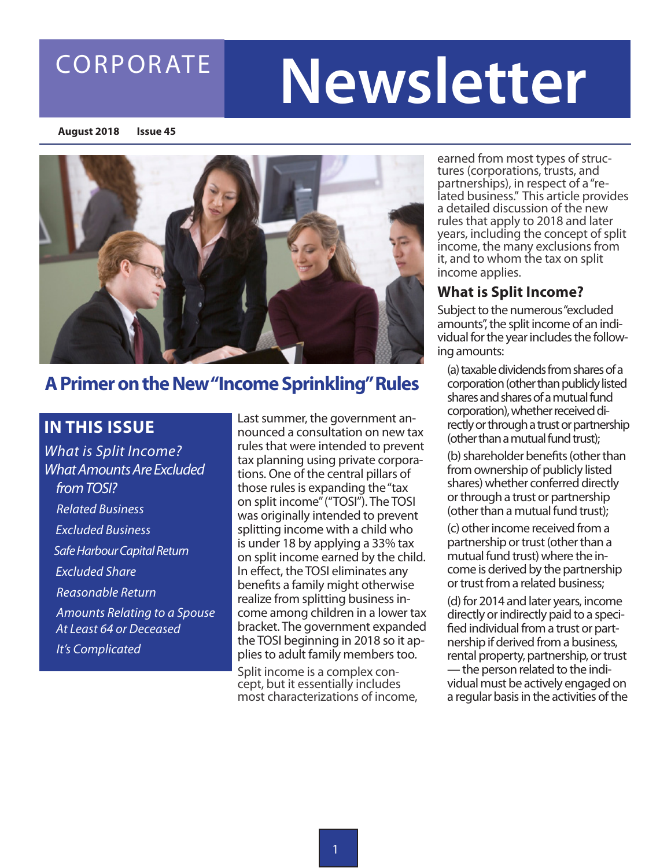### CORPORATE

# **Newsletter**

**August 2018 Issue 45**



### **A Primer on the New "Income Sprinkling" Rules**

### **IN THIS ISSUE**

*What is Split Income? What Amounts Are Excluded from TOSI? Related Business Excluded Business Safe Harbour Capital Return Excluded Share Reasonable Return Amounts Relating to a Spouse At Least 64 or Deceased It's Complicated*

Last summer, the government announced a consultation on new tax rules that were intended to prevent tax planning using private corporations. One of the central pillars of those rules is expanding the "tax on split income" ("TOSI"). The TOSI was originally intended to prevent splitting income with a child who is under 18 by applying a 33% tax on split income earned by the child. In effect, the TOSI eliminates any benefits a family might otherwise realize from splitting business income among children in a lower tax bracket. The government expanded the TOSI beginning in 2018 so it applies to adult family members too.

Split income is a complex con- cept, but it essentially includes most characterizations of income, earned from most types of struc-<br>tures (corporations, trusts, and<br>partnerships), in respect of a "related business." This article provides a detailed discussion of the new rules that apply to 2018 and later years, including the concept of split income, the many exclusions from it, and to whom the tax on split income applies.

### **What is Split Income?**

Subject to the numerous "excluded amounts", the split income of an individual for the year includes the following amounts:

(a) taxable dividends from shares of a corporation (other than publicly listed shares and shares of a mutual fund corporation), whether received directly or through a trust or partnership (other than a mutual fund trust);

(b) shareholder benefits (other than from ownership of publicly listed shares) whether conferred directly or through a trust or partnership (other than a mutual fund trust);

(c) other income received from a partnership or trust (other than a mutual fund trust) where the income is derived by the partnership or trust from a related business;

(d) for 2014 and later years, income directly or indirectly paid to a specified individual from a trust or partnership if derived from a business, rental property, partnership, or trust — the person related to the individual must be actively engaged on a regular basis in the activities of the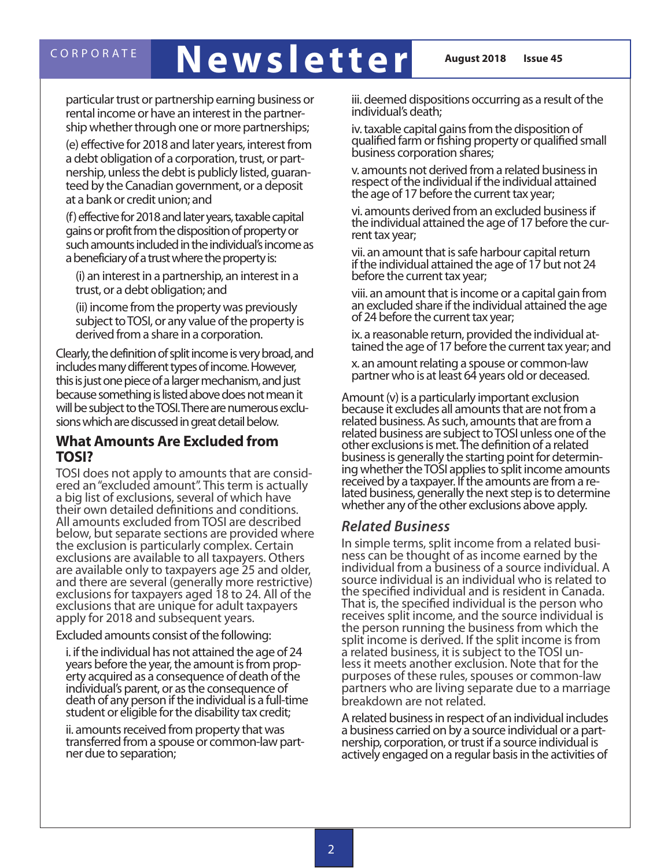## CORPORATE **Newsletter August 2018** Issue 45

particular trust or partnership earning business or rental income or have an interest in the partnership whether through one or more partnerships;

(e) effective for 2018 and later years, interest from a debt obligation of a corporation, trust, or partnership, unless the debt is publicly listed, guaranteed by the Canadian government, or a deposit at a bank or credit union; and

(f) effective for 2018 and later years, taxable capital gains or profit from the disposition of property or such amounts included in the individual's income as a beneficiary of a trust where the property is:

(i) an interest in a partnership, an interest in a trust, or a debt obligation; and

(ii) income from the property was previously subject to TOSI, or any value of the property is derived from a share in a corporation.

Clearly, the definition of split income is very broad, and includes many different types of income. However, this is just one piece of a larger mechanism, and just because something is listed above does not mean it will be subject to the TOSI. There are numerous exclusions which are discussed in great detail below.

### **What Amounts Are Excluded from TOSI?**

TOSI does not apply to amounts that are consid- ered an "excluded amount". This term is actually a big list of exclusions, several of which have their own detailed definitions and conditions. All amounts excluded from TOSI are described below, but separate sections are provided where the exclusion is particularly complex. Certain exclusions are available to all taxpayers. Others are available only to taxpayers age 25 and older, and there are several (generally more restrictive) exclusions for taxpayers aged 18 to 24. All of the exclusions that are unique for adult taxpayers apply for 2018 and subsequent years.

Excluded amounts consist of the following:

i. if the individual has not attained the age of 24 years before the year, the amount is from prop- erty acquired as a consequence of death of the individual's parent, or as the consequence of death of any person if the individual is a full-time student or eligible for the disability tax credit;

ii. amounts received from property that was transferred from a spouse or common-law part- ner due to separation;

iii. deemed dispositions occurring as a result of the individual's death;

iv. taxable capital gains from the disposition of qualified farm or fishing property or qualified small business corporation shares;

v. amounts not derived from a related business in respect of the individual if the individual attained the age of 17 before the current tax year;

vi. amounts derived from an excluded business if the individual attained the age of 17 before the cur- rent tax year;

vii. an amount that is safe harbour capital return if the individual attained the age of 17 but not 24 before the current tax year;

viii. an amount that is income or a capital gain from an excluded share if the individual attained the age of 24 before the current tax year;

ix. a reasonable return, provided the individual at- tained the age of 17 before the current tax year; and

x. an amount relating a spouse or common-law partner who is at least 64 years old or deceased.

Amount (v) is a particularly important exclusion because it excludes all amounts that are not from a related business. As such, amounts that are from a related business are subject to TOSI unless one of the other exclusions is met. The definition of a related business is generally the starting point for determin- ing whether the TOSI applies to split income amounts received by a taxpayer. If the amounts are from a re- lated business, generally the next step is to determine whether any of the other exclusions above apply.

### *Related Business*

In simple terms, split income from a related busi- ness can be thought of as income earned by the individual from a business of a source individual. A source individual is an individual who is related to the specified individual and is resident in Canada. That is, the specified individual is the person who receives split income, and the source individual is the person running the business from which the split income is derived. If the split income is from a related business, it is subject to the TOSI un-<br>less it meets another exclusion. Note that for the purposes of these rules, spouses or common-law partners who are living separate due to a marriage breakdown are not related.

A related business in respect of an individual includes a business carried on by a source individual or a part- nership, corporation, or trust if a source individual is actively engaged on a regular basis in the activities of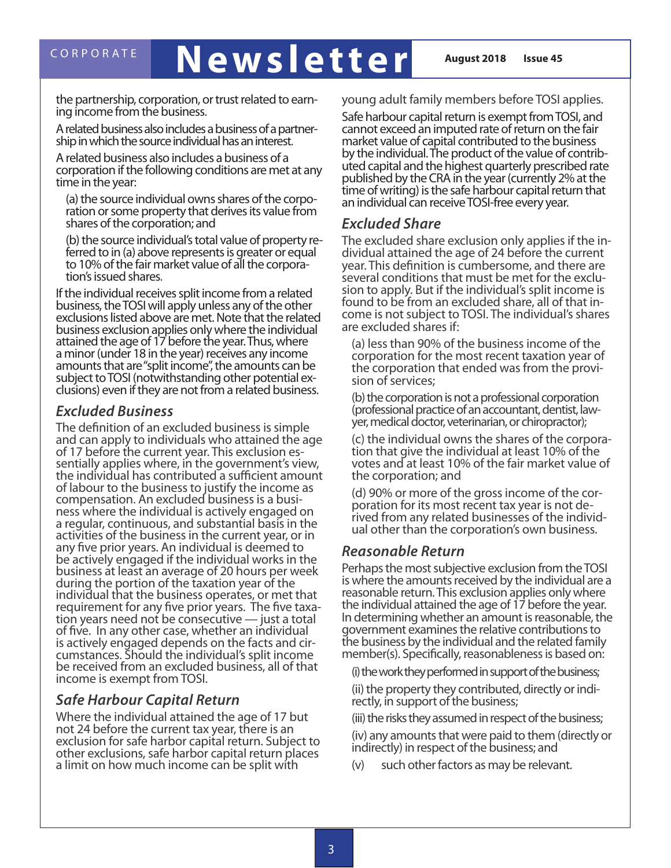## CORPORATE **Newsletter August 2018** Issue 45

the partnership, corporation, or trust related to earn- ing income from the business.

A related business also includes a business of a partner- ship in which the source individual has an interest.

A related business also includes a business of a corporation if the following conditions are met at any time in the year:

(a) the source individual owns shares of the corpo- ration or some property that derives its value from shares of the corporation; and

(b) the source individual's total value of property re- ferred to in (a) above represents is greater or equal to 10% of the fair market value of all the corpora- tion's issued shares.

If the individual receives split income from a related business, the TOSI will apply unless any of the other exclusions listed above are met. Note that the related business exclusion applies only where the individual attained the age of 17 before the year. Thus, where a minor (under 18 in the year) receives any income amounts that are "split income", the amounts can be clusions) even if they are not from a related business.

### *Excluded Business*

The definition of an excluded business is simple and can apply to individuals who attained the age<br>of 17 before the current year. This exclusion essentially applies where, in the government's view, the individual has contributed a sufficient amount of labour to the business to justify the income as<br>compensation. An excluded business is a business where the individual is actively engaged on a regular, continuous, and substantial basis in the activities of the business in the current year, or in any five prior years. An individual is deemed to be actively engaged if the individual works in the business at least an average of 20 hours per week during the portion of the taxation year of the individual that the business operates, or met that requirement for any five prior years. The five taxa- tion years need not be consecutive — just a total of five. In any other case, whether an individual is actively engaged depends on the facts and cir- cumstances. Should the individual's split income be received from an excluded business, all of that income is exempt from TOSI.

### *Safe Harbour Capital Return*

Where the individual attained the age of 17 but not 24 before the current tax year, there is an exclusion for safe harbor capital return. Subject to other exclusions, safe harbor capital return places a limit on how much income can be split with

young adult family members before TOSI applies.

Safe harbour capital return is exempt from TOSI, and cannot exceed an imputed rate of return on the fair market value of capital contributed to the business uted capital and the highest quarterly prescribed rate published by the CRA in the year (currently 2% at the time of writing) is the safe harbour capital return that an individual can receive TOSI-free every year.

### *Excluded Share*

The excluded share exclusion only applies if the in- dividual attained the age of 24 before the current year. This definition is cumbersome, and there are sion to apply. But if the individual's split income is found to be from an excluded share, all of that in- come is not subject to TOSI. The individual's shares are excluded shares if:

(a) less than 90% of the business income of the corporation for the most recent taxation year of the corporation that ended was from the provi-<br>sion of services;

(b) the corporation is not a professional corporation (professional practice of an accountant, dentist, law- yer, medical doctor, veterinarian, or chiropractor);

(c) the individual owns the shares of the corpora- tion that give the individual at least 10% of the votes and at least 10% of the fair market value of the corporation; and

(d) 90% or more of the gross income of the cor-<br>poration for its most recent tax year is not de-<br>rived from any related businesses of the individ-<br>ual other than the corporation's own business.

### *Reasonable Return*

Perhaps the most subjective exclusion from the TOSI is where the amounts received by the individual are a reasonable return. This exclusion applies only where the individual attained the age of 17 before the year. In determining whether an amount is reasonable, the government examines the relative contributions to the business by the individual and the related family member(s). Specifically, reasonableness is based on:

(i) the work they performed in support of the business; (ii) the property they contributed, directly or indi- rectly, in support of the business;

(iii) the risks they assumed in respect of the business;

(iv) any amounts that were paid to them (directly or indirectly) in respect of the business; and

(v) such other factors as may be relevant.